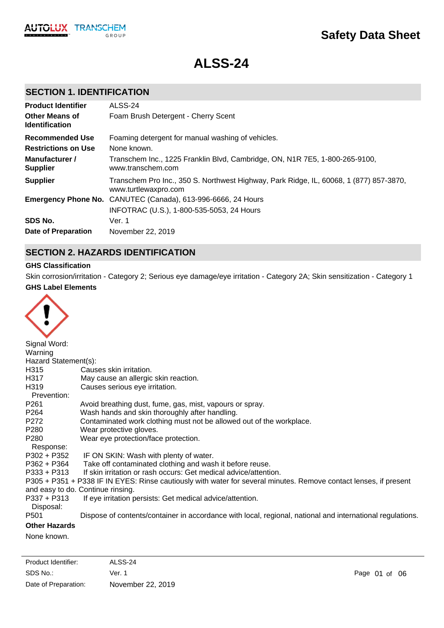

**ALSS-24**

# **SECTION 1. IDENTIFICATION**

| <b>Product Identifier</b>                      | ALSS-24                                                                                                        |
|------------------------------------------------|----------------------------------------------------------------------------------------------------------------|
| <b>Other Means of</b><br><b>Identification</b> | Foam Brush Detergent - Cherry Scent                                                                            |
| <b>Recommended Use</b>                         | Foaming detergent for manual washing of vehicles.                                                              |
| <b>Restrictions on Use</b>                     | None known.                                                                                                    |
| Manufacturer /<br><b>Supplier</b>              | Transchem Inc., 1225 Franklin Blvd, Cambridge, ON, N1R 7E5, 1-800-265-9100,<br>www.transchem.com               |
| <b>Supplier</b>                                | Transchem Pro Inc., 350 S. Northwest Highway, Park Ridge, IL, 60068, 1 (877) 857-3870,<br>www.turtlewaxpro.com |
|                                                | Emergency Phone No. CANUTEC (Canada), 613-996-6666, 24 Hours                                                   |
|                                                | INFOTRAC (U.S.), 1-800-535-5053, 24 Hours                                                                      |
| SDS No.                                        | Ver. 1                                                                                                         |
| Date of Preparation                            | November 22, 2019                                                                                              |

## **SECTION 2. HAZARDS IDENTIFICATION**

### **GHS Classification**

**GHS Label Elements** Skin corrosion/irritation - Category 2; Serious eye damage/eye irritation - Category 2A; Skin sensitization - Category 1



| Signal Word:         |                                                                                                                   |
|----------------------|-------------------------------------------------------------------------------------------------------------------|
| Warning              |                                                                                                                   |
| Hazard Statement(s): |                                                                                                                   |
| H315                 | Causes skin irritation.                                                                                           |
| H317                 | May cause an allergic skin reaction.                                                                              |
| H319                 | Causes serious eye irritation.                                                                                    |
| Prevention:          |                                                                                                                   |
| P <sub>261</sub>     | Avoid breathing dust, fume, gas, mist, vapours or spray.                                                          |
| P264                 | Wash hands and skin thoroughly after handling.                                                                    |
| P272                 | Contaminated work clothing must not be allowed out of the workplace.                                              |
| P280                 | Wear protective gloves.                                                                                           |
| P280                 | Wear eye protection/face protection.                                                                              |
| Response:            |                                                                                                                   |
| P302 + P352          | IF ON SKIN: Wash with plenty of water.                                                                            |
| P362 + P364          | Take off contaminated clothing and wash it before reuse.                                                          |
| $P333 + P313$        | If skin irritation or rash occurs: Get medical advice/attention.                                                  |
|                      | P305 + P351 + P338 IF IN EYES: Rinse cautiously with water for several minutes. Remove contact lenses, if present |
|                      | and easy to do. Continue rinsing.                                                                                 |
| $P337 + P313$        | If eye irritation persists: Get medical advice/attention.                                                         |
| Disposal:            |                                                                                                                   |
| P501                 | Dispose of contents/container in accordance with local, regional, national and international regulations.         |
| <b>Other Hazards</b> |                                                                                                                   |
|                      |                                                                                                                   |

None known.

SDS No.: Date of Preparation: Ver. 1 Page 01 of 06 November 22, 2019 Product Identifier: ALSS-24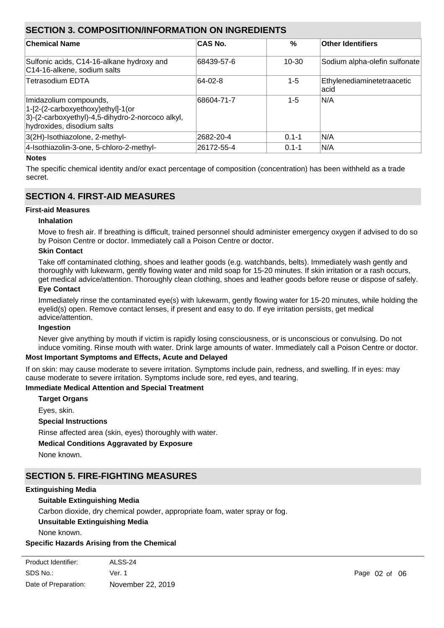## **SECTION 3. COMPOSITION/INFORMATION ON INGREDIENTS**

| <b>Chemical Name</b>                                                                                                                          | <b>CAS No.</b> | $\%$      | <b>Other Identifiers</b>            |
|-----------------------------------------------------------------------------------------------------------------------------------------------|----------------|-----------|-------------------------------------|
| Sulfonic acids, C14-16-alkane hydroxy and<br>C14-16-alkene, sodium salts                                                                      | 68439-57-6     | $10 - 30$ | Sodium alpha-olefin sulfonate       |
| <b>Tetrasodium EDTA</b>                                                                                                                       | 64-02-8        | $1 - 5$   | Ethylenediaminetetraacetic<br>lacid |
| Imidazolium compounds,<br>1-[2-(2-carboxyethoxy)ethyl]-1(or<br>3)-(2-carboxyethyl)-4,5-dihydro-2-norcoco alkyl,<br>hydroxides, disodium salts | 68604-71-7     | $1 - 5$   | N/A                                 |
| 3(2H)-Isothiazolone, 2-methyl-                                                                                                                | 2682-20-4      | $0.1 - 1$ | N/A                                 |
| 4-Isothiazolin-3-one, 5-chloro-2-methyl-                                                                                                      | 26172-55-4     | $0.1 - 1$ | N/A                                 |

### **Notes**

The specific chemical identity and/or exact percentage of composition (concentration) has been withheld as a trade secret.

## **SECTION 4. FIRST-AID MEASURES**

### **First-aid Measures**

### **Inhalation**

Move to fresh air. If breathing is difficult, trained personnel should administer emergency oxygen if advised to do so by Poison Centre or doctor. Immediately call a Poison Centre or doctor.

### **Skin Contact**

Take off contaminated clothing, shoes and leather goods (e.g. watchbands, belts). Immediately wash gently and thoroughly with lukewarm, gently flowing water and mild soap for 15-20 minutes. If skin irritation or a rash occurs, get medical advice/attention. Thoroughly clean clothing, shoes and leather goods before reuse or dispose of safely.

### **Eye Contact**

Immediately rinse the contaminated eye(s) with lukewarm, gently flowing water for 15-20 minutes, while holding the eyelid(s) open. Remove contact lenses, if present and easy to do. If eye irritation persists, get medical advice/attention.

### **Ingestion**

Never give anything by mouth if victim is rapidly losing consciousness, or is unconscious or convulsing. Do not induce vomiting. Rinse mouth with water. Drink large amounts of water. Immediately call a Poison Centre or doctor.

### **Most Important Symptoms and Effects, Acute and Delayed**

If on skin: may cause moderate to severe irritation. Symptoms include pain, redness, and swelling. If in eyes: may cause moderate to severe irritation. Symptoms include sore, red eyes, and tearing.

Do not direct solid stream of water into burning liquid. Contact with water causes violent frothing and spattering.

### **Immediate Medical Attention and Special Treatment**

#### **Target Organs**

Eyes, skin.

### **Special Instructions**

Rinse affected area (skin, eyes) thoroughly with water.

### **Medical Conditions Aggravated by Exposure**

None known.

### **SECTION 5. FIRE-FIGHTING MEASURES**

#### **Extinguishing Media**

### **Suitable Extinguishing Media**

Carbon dioxide, dry chemical powder, appropriate foam, water spray or fog.

#### **Unsuitable Extinguishing Media**

None known.

### **Specific Hazards Arising from the Chemical**

| Product Identifier:  | ALSS-24           |               |  |
|----------------------|-------------------|---------------|--|
| SDS No.:             | Ver. 1            | Page 02 of 06 |  |
| Date of Preparation: | November 22, 2019 |               |  |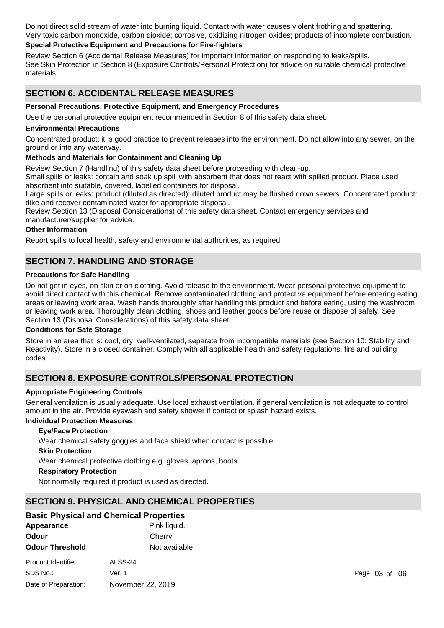Do not direct solid stream of water into burning liquid. Contact with water causes violent frothing and spattering. Very toxic carbon monoxide, carbon dioxide; corrosive, oxidizing nitrogen oxides; products of incomplete combustion.

## **Special Protective Equipment and Precautions for Fire-fighters**

Review Section 6 (Accidental Release Measures) for important information on responding to leaks/spills. See Skin Protection in Section 8 (Exposure Controls/Personal Protection) for advice on suitable chemical protective materials.

# **SECTION 6. ACCIDENTAL RELEASE MEASURES**

### **Personal Precautions, Protective Equipment, and Emergency Procedures**

Use the personal protective equipment recommended in Section 8 of this safety data sheet.

### **Environmental Precautions**

Concentrated product: it is good practice to prevent releases into the environment. Do not allow into any sewer, on the ground or into any waterway.

### **Methods and Materials for Containment and Cleaning Up**

Review Section 7 (Handling) of this safety data sheet before proceeding with clean-up.

Small spills or leaks: contain and soak up spill with absorbent that does not react with spilled product. Place used absorbent into suitable, covered, labelled containers for disposal.

Large spills or leaks: product (diluted as directed): diluted product may be flushed down sewers. Concentrated product: dike and recover contaminated water for appropriate disposal.

Review Section 13 (Disposal Considerations) of this safety data sheet. Contact emergency services and manufacturer/supplier for advice.

### **Other Information**

Report spills to local health, safety and environmental authorities, as required.

## **SECTION 7. HANDLING AND STORAGE**

### **Precautions for Safe Handling**

Do not get in eyes, on skin or on clothing. Avoid release to the environment. Wear personal protective equipment to avoid direct contact with this chemical. Remove contaminated clothing and protective equipment before entering eating areas or leaving work area. Wash hands thoroughly after handling this product and before eating, using the washroom or leaving work area. Thoroughly clean clothing, shoes and leather goods before reuse or dispose of safely. See Section 13 (Disposal Considerations) of this safety data sheet.

### **Conditions for Safe Storage**

Store in an area that is: cool, dry, well-ventilated, separate from incompatible materials (see Section 10: Stability and Reactivity). Store in a closed container. Comply with all applicable health and safety regulations, fire and building codes.

## **SECTION 8. EXPOSURE CONTROLS/PERSONAL PROTECTION**

## **Appropriate Engineering Controls**

General ventilation is usually adequate. Use local exhaust ventilation, if general ventilation is not adequate to control amount in the air. Provide eyewash and safety shower if contact or splash hazard exists.

## **Individual Protection Measures**

### **Eye/Face Protection**

Wear chemical safety goggles and face shield when contact is possible.

### **Skin Protection**

Wear chemical protective clothing e.g. gloves, aprons, boots.

### **Respiratory Protection**

Not normally required if product is used as directed.

## **SECTION 9. PHYSICAL AND CHEMICAL PROPERTIES**

|                        | <b>Basic Physical and Chemical Properties</b> |                   |  |
|------------------------|-----------------------------------------------|-------------------|--|
| Appearance             | Pink liquid.                                  |                   |  |
| Odour                  | Cherry                                        |                   |  |
| <b>Odour Threshold</b> | Not available                                 |                   |  |
| Product Identifier:    | ALSS-24                                       |                   |  |
| SDS No.:               | Ver. 1                                        | Page $03$ of $06$ |  |
| Date of Preparation:   | November 22, 2019                             |                   |  |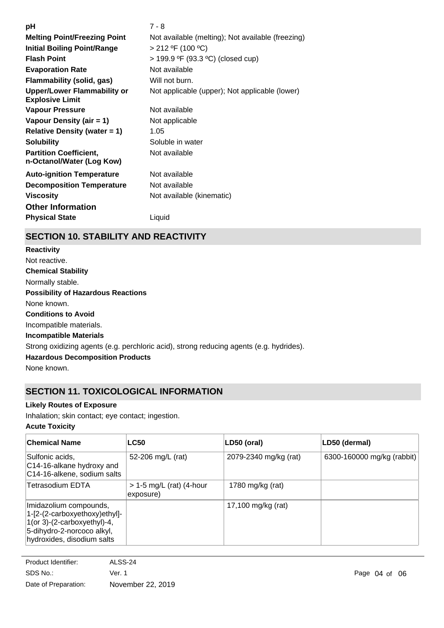| рH                                                           | $7 - 8$                                           |
|--------------------------------------------------------------|---------------------------------------------------|
| <b>Melting Point/Freezing Point</b>                          | Not available (melting); Not available (freezing) |
| <b>Initial Boiling Point/Range</b>                           | > 212 °F (100 °C)                                 |
| <b>Flash Point</b>                                           | > 199.9 °F (93.3 °C) (closed cup)                 |
| <b>Evaporation Rate</b>                                      | Not available                                     |
| <b>Flammability (solid, gas)</b>                             | Will not burn.                                    |
| <b>Upper/Lower Flammability or</b><br><b>Explosive Limit</b> | Not applicable (upper); Not applicable (lower)    |
| Vapour Pressure                                              | Not available                                     |
| Vapour Density (air = 1)                                     | Not applicable                                    |
| <b>Relative Density (water = 1)</b>                          | 1.05                                              |
| <b>Solubility</b>                                            | Soluble in water                                  |
| <b>Partition Coefficient,</b><br>n-Octanol/Water (Log Kow)   | Not available                                     |
| <b>Auto-ignition Temperature</b>                             | Not available                                     |
| <b>Decomposition Temperature</b>                             | Not available                                     |
| <b>Viscosity</b>                                             | Not available (kinematic)                         |
| <b>Other Information</b>                                     |                                                   |
| <b>Physical State</b>                                        | Liquid                                            |
|                                                              |                                                   |

# **SECTION 10. STABILITY AND REACTIVITY**

**Chemical Stability** Normally stable. **Conditions to Avoid** Incompatible materials. **Incompatible Materials** Strong oxidizing agents (e.g. perchloric acid), strong reducing agents (e.g. hydrides). **Hazardous Decomposition Products** None known. **Possibility of Hazardous Reactions** None known. **Reactivity** Not reactive.

# **SECTION 11. TOXICOLOGICAL INFORMATION**

## **Likely Routes of Exposure**

Inhalation; skin contact; eye contact; ingestion.

## **Acute Toxicity**

| <b>Chemical Name</b>                                                                                                                               | <b>LC50</b>                             | LD50 (oral)           | LD50 (dermal)              |
|----------------------------------------------------------------------------------------------------------------------------------------------------|-----------------------------------------|-----------------------|----------------------------|
| Sulfonic acids,<br>C14-16-alkane hydroxy and<br>C14-16-alkene, sodium salts                                                                        | 52-206 mg/L (rat)                       | 2079-2340 mg/kg (rat) | 6300-160000 mg/kg (rabbit) |
| ∣Tetrasodium EDTA                                                                                                                                  | $> 1-5$ mg/L (rat) (4-hour<br>exposure) | 1780 mg/kg (rat)      |                            |
| Imidazolium compounds,<br>1-[2-(2-carboxyethoxy)ethyl]-<br>1(or 3)-(2-carboxyethyl)-4,<br>5-dihydro-2-norcoco alkyl,<br>hydroxides, disodium salts |                                         | 17,100 mg/kg (rat)    |                            |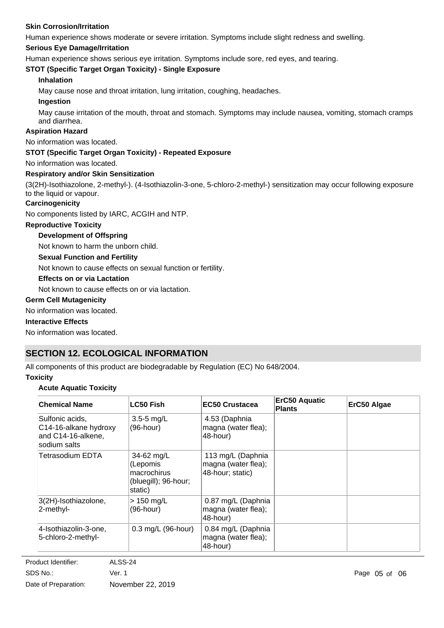### **Skin Corrosion/Irritation**

Human experience shows moderate or severe irritation. Symptoms include slight redness and swelling.

### **Serious Eye Damage/Irritation**

Human experience shows serious eye irritation. Symptoms include sore, red eyes, and tearing.

### **STOT (Specific Target Organ Toxicity) - Single Exposure**

### **Inhalation**

May cause nose and throat irritation, lung irritation, coughing, headaches.

### **Ingestion**

May cause irritation of the mouth, throat and stomach. Symptoms may include nausea, vomiting, stomach cramps and diarrhea.

### **Aspiration Hazard**

No information was located.

### **STOT (Specific Target Organ Toxicity) - Repeated Exposure**

No information was located.

### **Respiratory and/or Skin Sensitization**

(3(2H)-Isothiazolone, 2-methyl-). (4-Isothiazolin-3-one, 5-chloro-2-methyl-) sensitization may occur following exposure to the liquid or vapour.

### **Carcinogenicity**

No components listed by IARC, ACGIH and NTP.

### **Reproductive Toxicity**

### **Development of Offspring**

Not known to harm the unborn child.

### **Sexual Function and Fertility**

Not known to cause effects on sexual function or fertility.

### **Effects on or via Lactation**

Not known to cause effects on or via lactation.

### **Germ Cell Mutagenicity**

No information was located.

### **Interactive Effects**

No information was located.

## **SECTION 12. ECOLOGICAL INFORMATION**

All components of this product are biodegradable by Regulation (EC) No 648/2004.

### **Toxicity**

### **Acute Aquatic Toxicity**

| <b>Chemical Name</b>                                                           | LC50 Fish                                                                | <b>EC50 Crustacea</b>                                        | <b>ErC50 Aquatic</b><br><b>Plants</b> | ErC50 Algae |
|--------------------------------------------------------------------------------|--------------------------------------------------------------------------|--------------------------------------------------------------|---------------------------------------|-------------|
| Sulfonic acids.<br>C14-16-alkane hydroxy<br>and C14-16-alkene,<br>sodium salts | $3.5 - 5$ mg/L<br>$(96$ -hour)                                           | 4.53 (Daphnia<br>magna (water flea);<br>48-hour)             |                                       |             |
| Tetrasodium EDTA                                                               | 34-62 mg/L<br>(Lepomis<br>macrochirus<br>(bluegill); 96-hour;<br>static) | 113 mg/L (Daphnia<br>magna (water flea);<br>48-hour; static) |                                       |             |
| 3(2H)-Isothiazolone,<br>2-methyl-                                              | $>$ 150 mg/L<br>(96-hour)                                                | 0.87 mg/L (Daphnia<br>magna (water flea);<br>48-hour)        |                                       |             |
| 4-Isothiazolin-3-one,<br>5-chloro-2-methyl-                                    | 0.3 mg/L (96-hour)                                                       | 0.84 mg/L (Daphnia<br>magna (water flea);<br>48-hour)        |                                       |             |